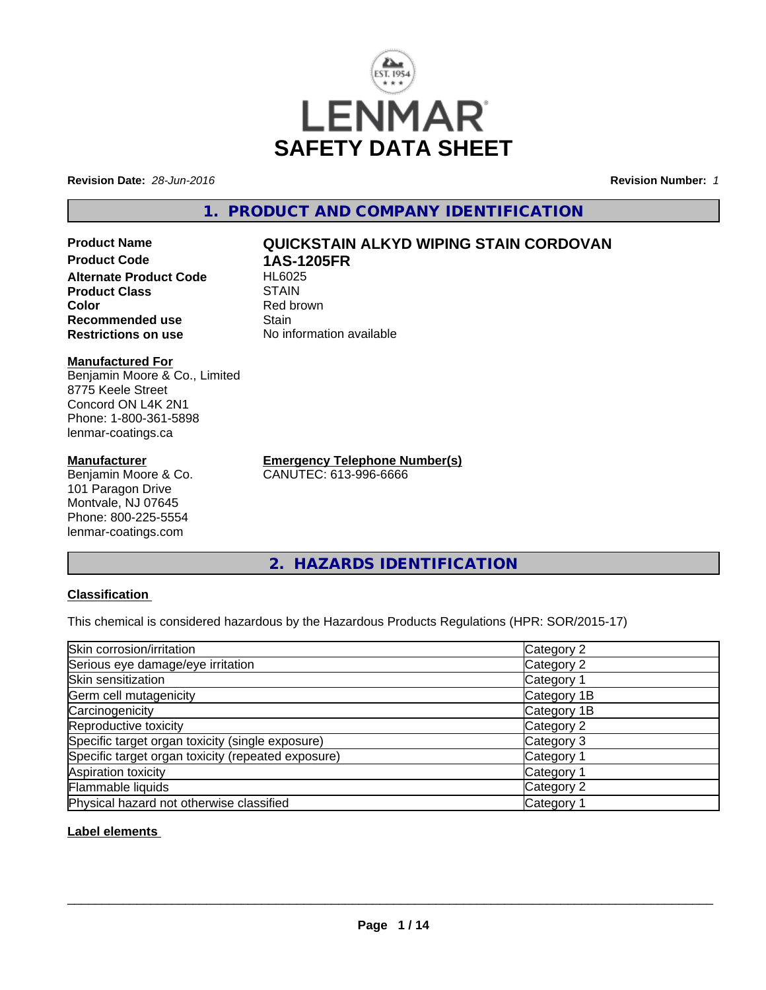

**Revision Date:** *28-Jun-2016* **Revision Number:** *1*

# **1. PRODUCT AND COMPANY IDENTIFICATION**

**Product Code 1AS-1205FR Alternate Product Code Product Class** STAIN<br> **Color** Red bro **Recommended use Stain Restrictions on use** No information available

#### **Manufactured For**

Benjamin Moore & Co., Limited 8775 Keele Street Concord ON L4K 2N1 Phone: 1-800-361-5898 lenmar-coatings.ca

#### **Manufacturer**

Benjamin Moore & Co. 101 Paragon Drive Montvale, NJ 07645 Phone: 800-225-5554 lenmar-coatings.com

**Product Name QUICKSTAIN ALKYD WIPING STAIN CORDOVAN**

**Red brown** 

**Emergency Telephone Number(s)** CANUTEC: 613-996-6666

**2. HAZARDS IDENTIFICATION**

# **Classification**

This chemical is considered hazardous by the Hazardous Products Regulations (HPR: SOR/2015-17)

| Skin corrosion/irritation                          | Category 2            |
|----------------------------------------------------|-----------------------|
| Serious eye damage/eye irritation                  | Category 2            |
| Skin sensitization                                 | Category 1            |
| Germ cell mutagenicity                             | Category 1B           |
| Carcinogenicity                                    | Category 1B           |
| Reproductive toxicity                              | Category 2            |
| Specific target organ toxicity (single exposure)   | Category 3            |
| Specific target organ toxicity (repeated exposure) | Category 1            |
| Aspiration toxicity                                | Category <sup>2</sup> |
| Flammable liquids                                  | Category 2            |
| Physical hazard not otherwise classified           | Category 1            |

### **Label elements**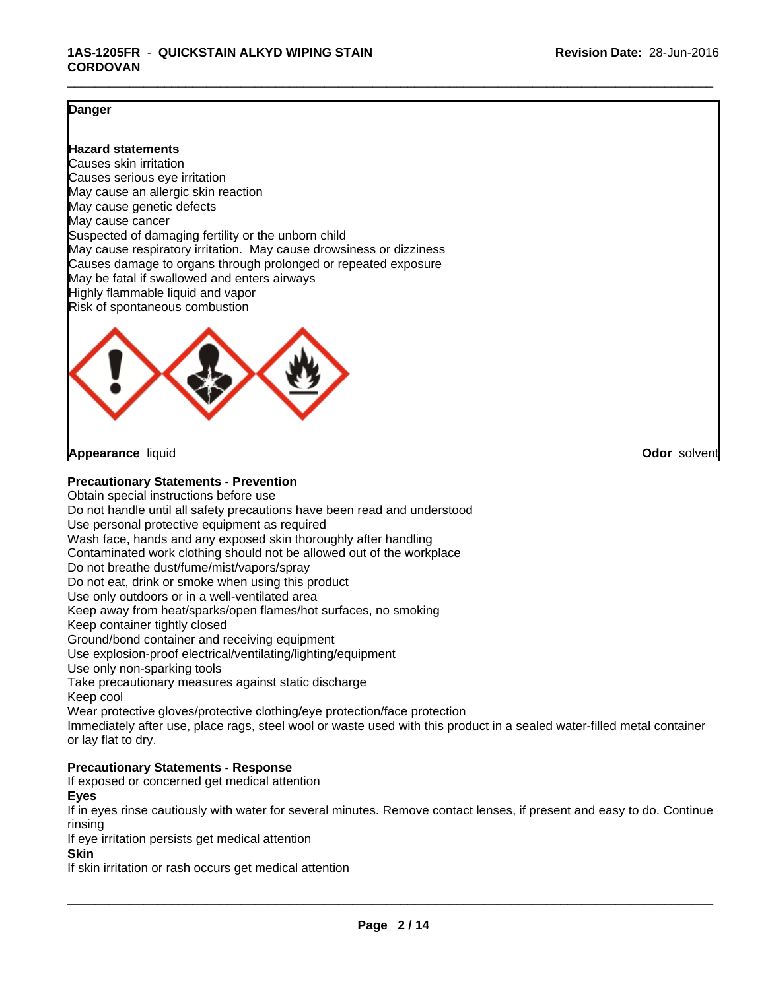\_\_\_\_\_\_\_\_\_\_\_\_\_\_\_\_\_\_\_\_\_\_\_\_\_\_\_\_\_\_\_\_\_\_\_\_\_\_\_\_\_\_\_\_\_\_\_\_\_\_\_\_\_\_\_\_\_\_\_\_\_\_\_\_\_\_\_\_\_\_\_\_\_\_\_\_\_\_\_\_\_\_\_\_\_\_\_\_\_\_\_\_\_

### **Danger**

#### **Hazard statements**

Causes skin irritation Causes serious eye irritation May cause an allergic skin reaction May cause genetic defects May cause cancer Suspected of damaging fertility or the unborn child May cause respiratory irritation. May cause drowsiness or dizziness Causes damage to organs through prolonged or repeated exposure May be fatal if swallowed and enters airways Highly flammable liquid and vapor Risk of spontaneous combustion



**Appearance** liquid **Odor** solvent

#### **Precautionary Statements - Prevention**

Obtain special instructions before use Do not handle until all safety precautions have been read and understood Use personal protective equipment as required Wash face, hands and any exposed skin thoroughly after handling Contaminated work clothing should not be allowed out of the workplace Do not breathe dust/fume/mist/vapors/spray Do not eat, drink or smoke when using this product Use only outdoors or in a well-ventilated area Keep away from heat/sparks/open flames/hot surfaces, no smoking Keep container tightly closed Ground/bond container and receiving equipment Use explosion-proof electrical/ventilating/lighting/equipment Use only non-sparking tools Take precautionary measures against static discharge Keep cool Wear protective gloves/protective clothing/eye protection/face protection Immediately after use, place rags, steel wool or waste used with this product in a sealed water-filled metal container or lay flat to dry.

### **Precautionary Statements - Response**

If exposed or concerned get medical attention

**Eyes**

If in eyes rinse cautiously with water for several minutes. Remove contact lenses, if present and easy to do. Continue rinsing

If eye irritation persists get medical attention

**Skin**

If skin irritation or rash occurs get medical attention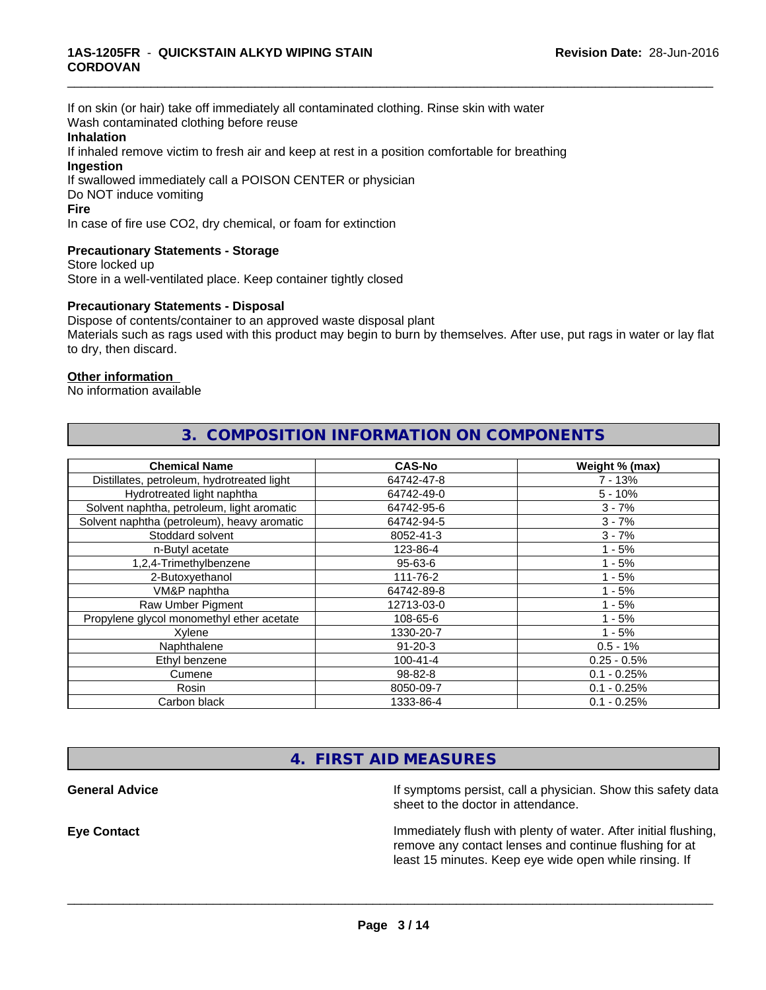If on skin (or hair) take off immediately all contaminated clothing. Rinse skin with water Wash contaminated clothing before reuse

#### **Inhalation**

If inhaled remove victim to fresh air and keep at rest in a position comfortable for breathing **Ingestion**

If swallowed immediately call a POISON CENTER or physician Do NOT induce vomiting

#### **Fire**

In case of fire use CO2, dry chemical, or foam for extinction

### **Precautionary Statements - Storage**

Store locked up Store in a well-ventilated place. Keep container tightly closed

#### **Precautionary Statements - Disposal**

Dispose of contents/container to an approved waste disposal plant Materials such as rags used with this product may begin to burn by themselves. After use, put rags in water or lay flat to dry, then discard.

**3. COMPOSITION INFORMATION ON COMPONENTS**

\_\_\_\_\_\_\_\_\_\_\_\_\_\_\_\_\_\_\_\_\_\_\_\_\_\_\_\_\_\_\_\_\_\_\_\_\_\_\_\_\_\_\_\_\_\_\_\_\_\_\_\_\_\_\_\_\_\_\_\_\_\_\_\_\_\_\_\_\_\_\_\_\_\_\_\_\_\_\_\_\_\_\_\_\_\_\_\_\_\_\_\_\_

#### **Other information**

No information available

| <b>Chemical Name</b>                        | <b>CAS-No</b>  | Weight % (max) |
|---------------------------------------------|----------------|----------------|
| Distillates, petroleum, hydrotreated light  | 64742-47-8     | $7 - 13%$      |
| Hydrotreated light naphtha                  | 64742-49-0     | $5 - 10%$      |
| Solvent naphtha, petroleum, light aromatic  | 64742-95-6     | $3 - 7%$       |
| Solvent naphtha (petroleum), heavy aromatic | 64742-94-5     | $3 - 7%$       |
| Stoddard solvent                            | 8052-41-3      | $3 - 7%$       |
| n-Butyl acetate                             | 123-86-4       | $1 - 5%$       |
| 1,2,4-Trimethylbenzene                      | $95 - 63 - 6$  | $1 - 5%$       |
| 2-Butoxyethanol                             | 111-76-2       | $1 - 5%$       |
| VM&P naphtha                                | 64742-89-8     | $1 - 5%$       |
| Raw Umber Pigment                           | 12713-03-0     | $1 - 5%$       |
| Propylene glycol monomethyl ether acetate   | 108-65-6       | $1 - 5%$       |
| Xylene                                      | 1330-20-7      | $1 - 5%$       |
| Naphthalene                                 | $91 - 20 - 3$  | $0.5 - 1%$     |
| Ethyl benzene                               | $100 - 41 - 4$ | $0.25 - 0.5%$  |
| Cumene                                      | 98-82-8        | $0.1 - 0.25%$  |
| Rosin                                       | 8050-09-7      | $0.1 - 0.25%$  |
| Carbon black                                | 1333-86-4      | $0.1 - 0.25%$  |

# **4. FIRST AID MEASURES**

**General Advice If** symptoms persist, call a physician. Show this safety data sheet to the doctor in attendance.

**Eye Contact Immediately flush with plenty of water. After initial flushing,** remove any contact lenses and continue flushing for at least 15 minutes. Keep eye wide open while rinsing. If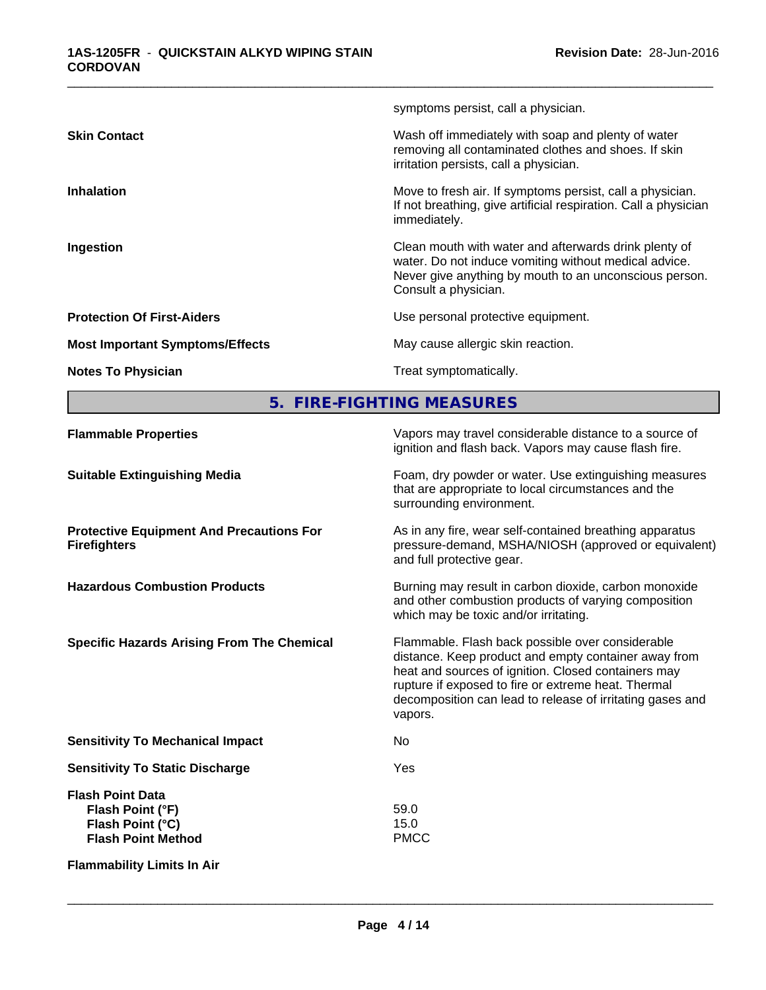|                                        | symptoms persist, call a physician.                                                                                                                                                              |
|----------------------------------------|--------------------------------------------------------------------------------------------------------------------------------------------------------------------------------------------------|
| <b>Skin Contact</b>                    | Wash off immediately with soap and plenty of water<br>removing all contaminated clothes and shoes. If skin<br>irritation persists, call a physician.                                             |
| <b>Inhalation</b>                      | Move to fresh air. If symptoms persist, call a physician.<br>If not breathing, give artificial respiration. Call a physician<br>immediately.                                                     |
| Ingestion                              | Clean mouth with water and afterwards drink plenty of<br>water. Do not induce vomiting without medical advice.<br>Never give anything by mouth to an unconscious person.<br>Consult a physician. |
| <b>Protection Of First-Aiders</b>      | Use personal protective equipment.                                                                                                                                                               |
| <b>Most Important Symptoms/Effects</b> | May cause allergic skin reaction.                                                                                                                                                                |
| <b>Notes To Physician</b>              | Treat symptomatically.                                                                                                                                                                           |
|                                        |                                                                                                                                                                                                  |

\_\_\_\_\_\_\_\_\_\_\_\_\_\_\_\_\_\_\_\_\_\_\_\_\_\_\_\_\_\_\_\_\_\_\_\_\_\_\_\_\_\_\_\_\_\_\_\_\_\_\_\_\_\_\_\_\_\_\_\_\_\_\_\_\_\_\_\_\_\_\_\_\_\_\_\_\_\_\_\_\_\_\_\_\_\_\_\_\_\_\_\_\_

**5. FIRE-FIGHTING MEASURES**

| <b>Flammable Properties</b>                                                                  | Vapors may travel considerable distance to a source of<br>ignition and flash back. Vapors may cause flash fire.                                                                                                                                                                                |
|----------------------------------------------------------------------------------------------|------------------------------------------------------------------------------------------------------------------------------------------------------------------------------------------------------------------------------------------------------------------------------------------------|
| <b>Suitable Extinguishing Media</b>                                                          | Foam, dry powder or water. Use extinguishing measures<br>that are appropriate to local circumstances and the<br>surrounding environment.                                                                                                                                                       |
| <b>Protective Equipment And Precautions For</b><br><b>Firefighters</b>                       | As in any fire, wear self-contained breathing apparatus<br>pressure-demand, MSHA/NIOSH (approved or equivalent)<br>and full protective gear.                                                                                                                                                   |
| <b>Hazardous Combustion Products</b>                                                         | Burning may result in carbon dioxide, carbon monoxide<br>and other combustion products of varying composition<br>which may be toxic and/or irritating.                                                                                                                                         |
| <b>Specific Hazards Arising From The Chemical</b>                                            | Flammable. Flash back possible over considerable<br>distance. Keep product and empty container away from<br>heat and sources of ignition. Closed containers may<br>rupture if exposed to fire or extreme heat. Thermal<br>decomposition can lead to release of irritating gases and<br>vapors. |
| <b>Sensitivity To Mechanical Impact</b>                                                      | No                                                                                                                                                                                                                                                                                             |
| <b>Sensitivity To Static Discharge</b>                                                       | Yes                                                                                                                                                                                                                                                                                            |
| <b>Flash Point Data</b><br>Flash Point (°F)<br>Flash Point (°C)<br><b>Flash Point Method</b> | 59.0<br>15.0<br><b>PMCC</b>                                                                                                                                                                                                                                                                    |
| <b>Flammability Limits In Air</b>                                                            |                                                                                                                                                                                                                                                                                                |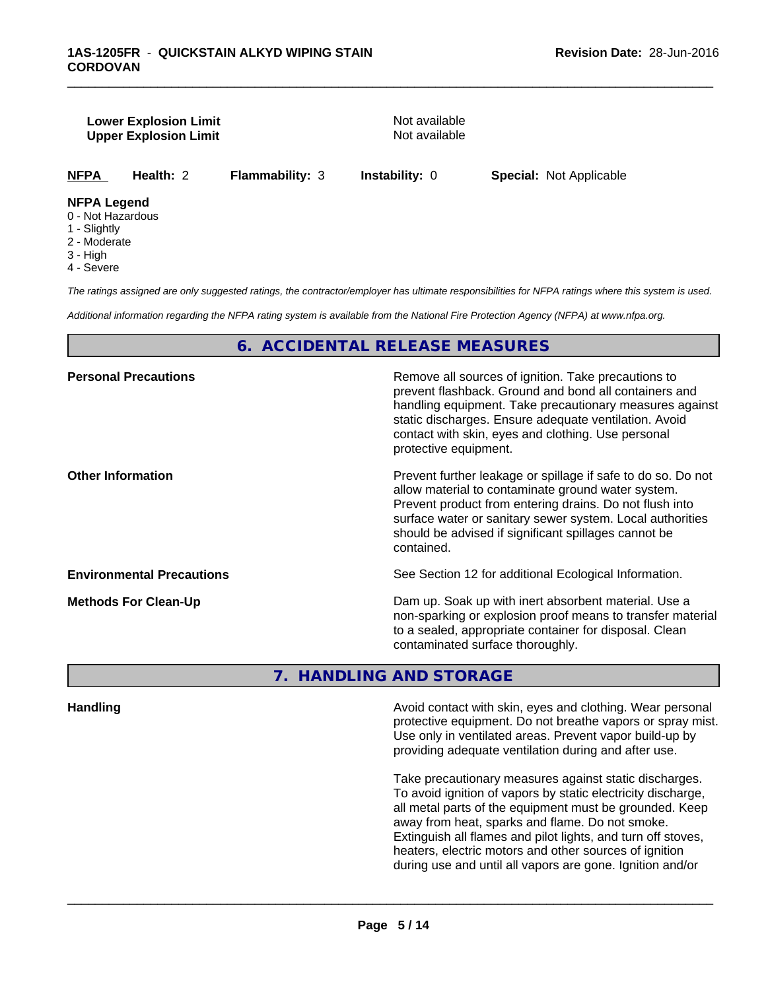#### **Lower Explosion Limit Not available** Not available **Upper Explosion Limit** Not available

\_\_\_\_\_\_\_\_\_\_\_\_\_\_\_\_\_\_\_\_\_\_\_\_\_\_\_\_\_\_\_\_\_\_\_\_\_\_\_\_\_\_\_\_\_\_\_\_\_\_\_\_\_\_\_\_\_\_\_\_\_\_\_\_\_\_\_\_\_\_\_\_\_\_\_\_\_\_\_\_\_\_\_\_\_\_\_\_\_\_\_\_\_

**NFPA Health:** 2 **Flammability:** 3 **Instability:** 0 **Special:** Not Applicable

### **NFPA Legend**

- 0 Not Hazardous
- 1 Slightly
- 2 Moderate
- 3 High
- 4 Severe

*The ratings assigned are only suggested ratings, the contractor/employer has ultimate responsibilities for NFPA ratings where this system is used.*

*Additional information regarding the NFPA rating system is available from the National Fire Protection Agency (NFPA) at www.nfpa.org.*

# **6. ACCIDENTAL RELEASE MEASURES**

| Remove all sources of ignition. Take precautions to<br>prevent flashback. Ground and bond all containers and<br>handling equipment. Take precautionary measures against<br>static discharges. Ensure adequate ventilation. Avoid<br>contact with skin, eyes and clothing. Use personal<br>protective equipment.  |
|------------------------------------------------------------------------------------------------------------------------------------------------------------------------------------------------------------------------------------------------------------------------------------------------------------------|
| Prevent further leakage or spillage if safe to do so. Do not<br>allow material to contaminate ground water system.<br>Prevent product from entering drains. Do not flush into<br>surface water or sanitary sewer system. Local authorities<br>should be advised if significant spillages cannot be<br>contained. |
| See Section 12 for additional Ecological Information.                                                                                                                                                                                                                                                            |
| Dam up. Soak up with inert absorbent material. Use a<br>non-sparking or explosion proof means to transfer material<br>to a sealed, appropriate container for disposal. Clean<br>contaminated surface thoroughly.                                                                                                 |
|                                                                                                                                                                                                                                                                                                                  |

**7. HANDLING AND STORAGE**

**Handling Handling Avoid contact with skin, eyes and clothing. Wear personal and <b>Handling Avoid contact with skin, eyes and clothing. Wear personal** protective equipment. Do not breathe vapors or spray mist. Use only in ventilated areas. Prevent vapor build-up by providing adequate ventilation during and after use.

> Take precautionary measures against static discharges. To avoid ignition of vapors by static electricity discharge, all metal parts of the equipment must be grounded. Keep away from heat, sparks and flame. Do not smoke. Extinguish all flames and pilot lights, and turn off stoves, heaters, electric motors and other sources of ignition during use and until all vapors are gone. Ignition and/or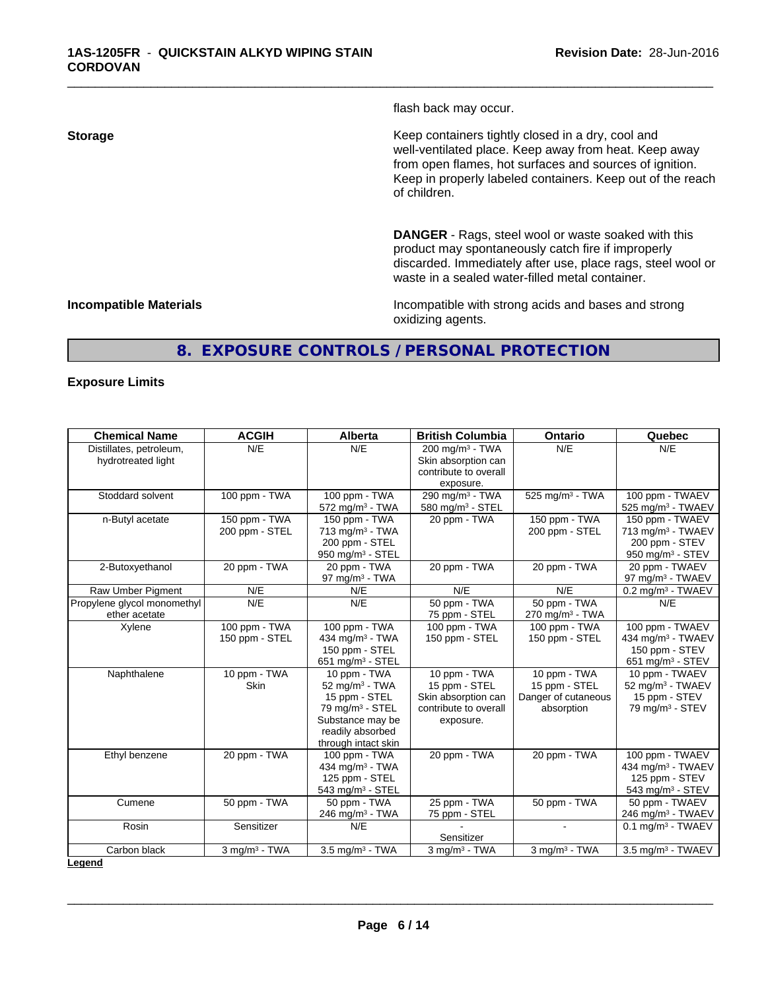flash back may occur.

\_\_\_\_\_\_\_\_\_\_\_\_\_\_\_\_\_\_\_\_\_\_\_\_\_\_\_\_\_\_\_\_\_\_\_\_\_\_\_\_\_\_\_\_\_\_\_\_\_\_\_\_\_\_\_\_\_\_\_\_\_\_\_\_\_\_\_\_\_\_\_\_\_\_\_\_\_\_\_\_\_\_\_\_\_\_\_\_\_\_\_\_\_

**Storage Keep containers tightly closed in a dry, cool and get a dry and storage Keep containers tightly closed in a dry, cool and** well-ventilated place. Keep away from heat. Keep away from open flames, hot surfaces and sources of ignition. Keep in properly labeled containers. Keep out of the reach of children.

> **DANGER** - Rags, steel wool or waste soaked with this product may spontaneously catch fire if improperly discarded. Immediately after use, place rags, steel wool or waste in a sealed water-filled metal container.

**Incompatible Materials Incompatible Materials Incompatible with strong acids and bases and strong** oxidizing agents.

# **8. EXPOSURE CONTROLS / PERSONAL PROTECTION**

#### **Exposure Limits**

| <b>Chemical Name</b>                          | <b>ACGIH</b>                    | <b>Alberta</b>                                                                                                                                              | <b>British Columbia</b>                                                                    | <b>Ontario</b>                                                     | Quebec                                                                                             |
|-----------------------------------------------|---------------------------------|-------------------------------------------------------------------------------------------------------------------------------------------------------------|--------------------------------------------------------------------------------------------|--------------------------------------------------------------------|----------------------------------------------------------------------------------------------------|
| Distillates, petroleum,<br>hydrotreated light | N/E                             | N/E                                                                                                                                                         | $200 \text{ mg/m}^3$ - TWA<br>Skin absorption can<br>contribute to overall<br>exposure.    | N/E                                                                | N/E                                                                                                |
| Stoddard solvent                              | 100 ppm - TWA                   | 100 ppm - TWA<br>572 mg/m <sup>3</sup> - TWA                                                                                                                | 290 mg/m <sup>3</sup> - TWA<br>580 mg/m $3 -$ STEL                                         | 525 mg/m <sup>3</sup> - TWA                                        | 100 ppm - TWAEV<br>525 mg/m <sup>3</sup> - TWAEV                                                   |
| n-Butyl acetate                               | 150 ppm - TWA<br>200 ppm - STEL | 150 ppm - TWA<br>713 mg/m <sup>3</sup> - TWA<br>200 ppm - STEL<br>950 mg/m $3 -$ STEL                                                                       | 20 ppm - TWA                                                                               | 150 ppm - TWA<br>200 ppm - STEL                                    | 150 ppm - TWAEV<br>713 mg/m <sup>3</sup> - TWAEV<br>200 ppm - STEV<br>950 mg/m <sup>3</sup> - STEV |
| 2-Butoxyethanol                               | 20 ppm - TWA                    | 20 ppm - TWA<br>97 mg/m $3$ - TWA                                                                                                                           | 20 ppm - TWA                                                                               | 20 ppm - TWA                                                       | 20 ppm - TWAEV<br>97 mg/m $3$ - TWAEV                                                              |
| Raw Umber Pigment                             | N/E                             | N/E                                                                                                                                                         | N/E                                                                                        | N/E                                                                | $0.2$ mg/m <sup>3</sup> - TWAEV                                                                    |
| Propylene glycol monomethyl<br>ether acetate  | N/E                             | N/E                                                                                                                                                         | 50 ppm - TWA<br>75 ppm - STEL                                                              | 50 ppm - TWA<br>$270$ mg/m <sup>3</sup> - TWA                      | N/E                                                                                                |
| Xylene                                        | 100 ppm - TWA<br>150 ppm - STEL | 100 ppm - TWA<br>434 mg/m $3$ - TWA<br>150 ppm - STEL<br>651 mg/m $3 -$ STEL                                                                                | 100 ppm - TWA<br>150 ppm - STEL                                                            | 100 ppm - TWA<br>150 ppm - STEL                                    | 100 ppm - TWAEV<br>434 mg/m <sup>3</sup> - TWAEV<br>150 ppm - STEV<br>651 mg/m $3 -$ STEV          |
| Naphthalene                                   | 10 ppm - TWA<br><b>Skin</b>     | 10 ppm - TWA<br>$52$ mg/m <sup>3</sup> - TWA<br>15 ppm - STEL<br>79 mg/m <sup>3</sup> - STEL<br>Substance may be<br>readily absorbed<br>through intact skin | 10 ppm - TWA<br>15 ppm - STEL<br>Skin absorption can<br>contribute to overall<br>exposure. | 10 ppm - TWA<br>15 ppm - STEL<br>Danger of cutaneous<br>absorption | 10 ppm - TWAEV<br>52 mg/m <sup>3</sup> - TWAEV<br>15 ppm - STEV<br>79 mg/m <sup>3</sup> - STEV     |
| Ethyl benzene                                 | 20 ppm - TWA                    | 100 ppm - TWA<br>434 mg/m <sup>3</sup> - TWA<br>125 ppm - STEL<br>543 mg/m <sup>3</sup> - STEL                                                              | 20 ppm - TWA                                                                               | 20 ppm - TWA                                                       | 100 ppm - TWAEV<br>434 mg/m <sup>3</sup> - TWAEV<br>125 ppm - STEV<br>543 mg/m $3 -$ STEV          |
| Cumene                                        | 50 ppm - TWA                    | 50 ppm - TWA<br>246 mg/m $3$ - TWA                                                                                                                          | 25 ppm - TWA<br>75 ppm - STEL                                                              | 50 ppm - TWA                                                       | 50 ppm - TWAEV<br>246 mg/m <sup>3</sup> - TWAEV                                                    |
| Rosin                                         | Sensitizer                      | N/E                                                                                                                                                         | Sensitizer                                                                                 | $\sim$                                                             | $0.1$ mg/m <sup>3</sup> - TWAEV                                                                    |
| Carbon black                                  | 3 mg/m <sup>3</sup> - TWA       | 3.5 mg/m <sup>3</sup> - TWA                                                                                                                                 | $3$ mg/m $3$ - TWA                                                                         | 3 mg/m <sup>3</sup> - TWA                                          | 3.5 mg/m <sup>3</sup> - TWAEV                                                                      |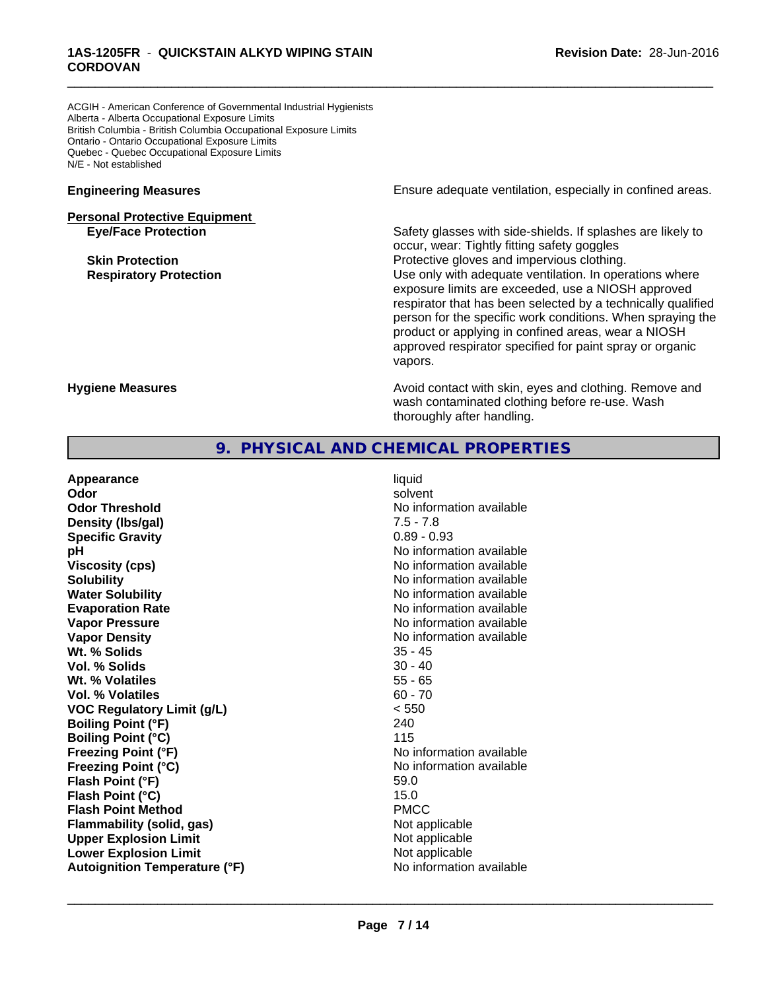ACGIH - American Conference of Governmental Industrial Hygienists Alberta - Alberta Occupational Exposure Limits British Columbia - British Columbia Occupational Exposure Limits Ontario - Ontario Occupational Exposure Limits Quebec - Quebec Occupational Exposure Limits N/E - Not established

# **Personal Protective Equipment**

**Engineering Measures Ensure** Ensure adequate ventilation, especially in confined areas.

\_\_\_\_\_\_\_\_\_\_\_\_\_\_\_\_\_\_\_\_\_\_\_\_\_\_\_\_\_\_\_\_\_\_\_\_\_\_\_\_\_\_\_\_\_\_\_\_\_\_\_\_\_\_\_\_\_\_\_\_\_\_\_\_\_\_\_\_\_\_\_\_\_\_\_\_\_\_\_\_\_\_\_\_\_\_\_\_\_\_\_\_\_

**Eye/Face Protection** Safety glasses with side-shields. If splashes are likely to occur, wear: Tightly fitting safety goggles **Skin Protection Protection Protective gloves and impervious clothing. Respiratory Protection Exercise 2018** Use only with adequate ventilation. In operations where exposure limits are exceeded, use a NIOSH approved respirator that has been selected by a technically qualified person for the specific work conditions. When spraying the product or applying in confined areas, wear a NIOSH approved respirator specified for paint spray or organic vapors.

**Hygiene Measures Avoid contact with skin, eyes and clothing. Remove and Avoid contact with skin, eyes and clothing. Remove and Avoid contact with skin, eyes and clothing. Remove and** wash contaminated clothing before re-use. Wash thoroughly after handling.

# **9. PHYSICAL AND CHEMICAL PROPERTIES**

**Appearance** liquid **Odor** solvent **Odor Threshold No information available No information available Density (lbs/gal)** 7.5 - 7.8 **Specific Gravity** 0.89 - 0.93 **pH** No information available **Viscosity (cps)** No information available in the Viscosity (cps) **Solubility Notifiable Note that the Solubility Note that the Solubility Notifiable Note that the Solubility Note that the Solubility Note that the Solubility Note that the Solubility Note that the Solubi Water Solubility** No information available **Evaporation Rate No information available No information available Vapor Pressure** No information available **Vapor Density No information available** No information available **Wt. % Solids** 35 - 45 **Vol. % Solids** 30 - 40 **Wt. % Volatiles** 55 - 65 **Vol. % Volatiles** 60 - 70 **VOC Regulatory Limit (g/L)** < 550 **Boiling Point (°F)** 240 **Boiling Point (°C)** 115 **Freezing Point (°F)** No information available **Freezing Point (°C)** and **COV** No information available **Flash Point (°F)** 59.0 **Flash Point (°C)** 15.0 **Flash Point Method** PMCC **Flammability (solid, gas)** Not applicable **Upper Explosion Limit** Not applicable **Lower Explosion Limit** Not applicable **Autoignition Temperature (°F)** No information available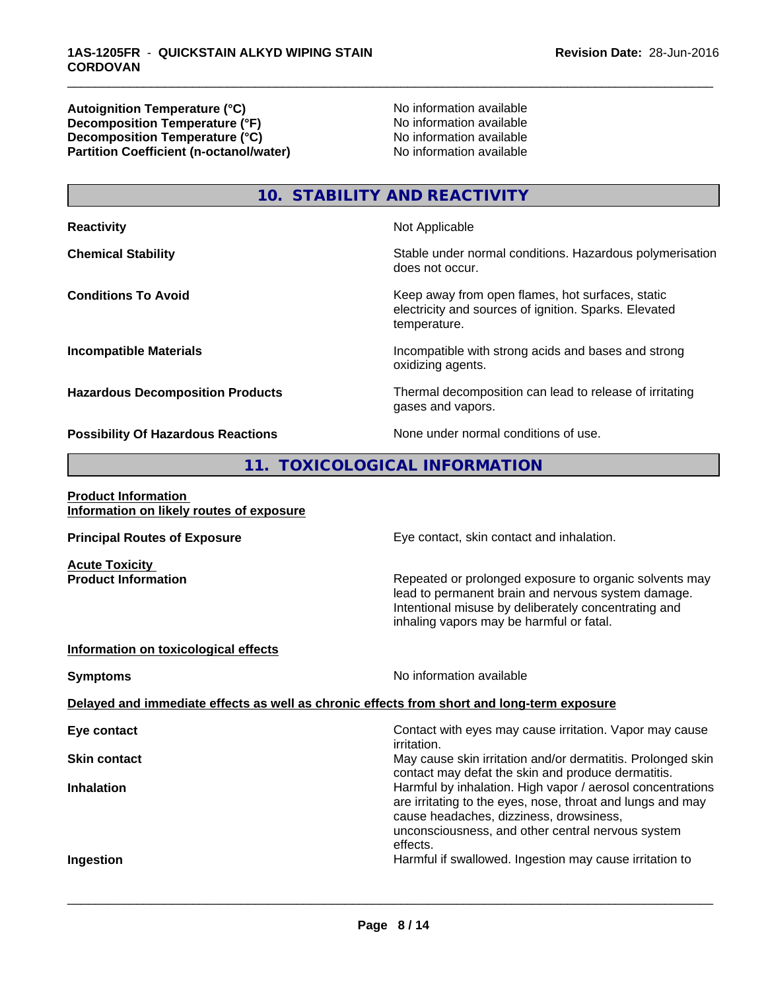**Autoignition Temperature (°C)** No information available **Decomposition Temperature (°F)** No information available **Decomposition Temperature (°C)**<br> **Partition Coefficient (n-octanol/water)** No information available **Partition Coefficient (n-octanol/water)** 

\_\_\_\_\_\_\_\_\_\_\_\_\_\_\_\_\_\_\_\_\_\_\_\_\_\_\_\_\_\_\_\_\_\_\_\_\_\_\_\_\_\_\_\_\_\_\_\_\_\_\_\_\_\_\_\_\_\_\_\_\_\_\_\_\_\_\_\_\_\_\_\_\_\_\_\_\_\_\_\_\_\_\_\_\_\_\_\_\_\_\_\_\_

# **10. STABILITY AND REACTIVITY**

| <b>Reactivity</b>                         | Not Applicable                                                                                                            |
|-------------------------------------------|---------------------------------------------------------------------------------------------------------------------------|
| <b>Chemical Stability</b>                 | Stable under normal conditions. Hazardous polymerisation<br>does not occur.                                               |
| <b>Conditions To Avoid</b>                | Keep away from open flames, hot surfaces, static<br>electricity and sources of ignition. Sparks. Elevated<br>temperature. |
| <b>Incompatible Materials</b>             | Incompatible with strong acids and bases and strong<br>oxidizing agents.                                                  |
| <b>Hazardous Decomposition Products</b>   | Thermal decomposition can lead to release of irritating<br>gases and vapors.                                              |
| <b>Possibility Of Hazardous Reactions</b> | None under normal conditions of use.                                                                                      |

# **11. TOXICOLOGICAL INFORMATION**

| Eye contact, skin contact and inhalation.<br><b>Principal Routes of Exposure</b>                                                                                                                                                                          |  |
|-----------------------------------------------------------------------------------------------------------------------------------------------------------------------------------------------------------------------------------------------------------|--|
| <b>Acute Toxicity</b>                                                                                                                                                                                                                                     |  |
| <b>Product Information</b><br>Repeated or prolonged exposure to organic solvents may<br>lead to permanent brain and nervous system damage.<br>Intentional misuse by deliberately concentrating and<br>inhaling vapors may be harmful or fatal.            |  |
| Information on toxicological effects                                                                                                                                                                                                                      |  |
| No information available<br><b>Symptoms</b>                                                                                                                                                                                                               |  |
| Delayed and immediate effects as well as chronic effects from short and long-term exposure                                                                                                                                                                |  |
| Contact with eyes may cause irritation. Vapor may cause<br>Eye contact<br>irritation.                                                                                                                                                                     |  |
| May cause skin irritation and/or dermatitis. Prolonged skin<br><b>Skin contact</b><br>contact may defat the skin and produce dermatitis.                                                                                                                  |  |
| Harmful by inhalation. High vapor / aerosol concentrations<br><b>Inhalation</b><br>are irritating to the eyes, nose, throat and lungs and may<br>cause headaches, dizziness, drowsiness,<br>unconsciousness, and other central nervous system<br>effects. |  |
| Harmful if swallowed. Ingestion may cause irritation to<br>Ingestion                                                                                                                                                                                      |  |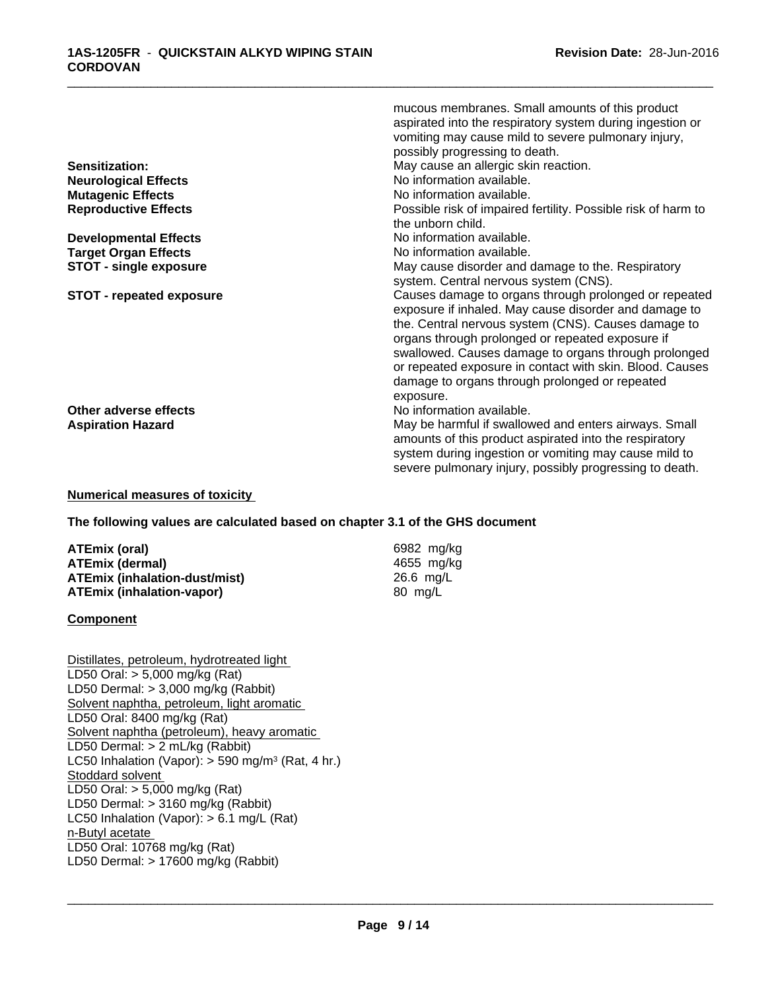|                                 | aspirated into the respiratory system during ingestion or<br>vomiting may cause mild to severe pulmonary injury, |
|---------------------------------|------------------------------------------------------------------------------------------------------------------|
|                                 | possibly progressing to death.                                                                                   |
| Sensitization:                  | May cause an allergic skin reaction.                                                                             |
| <b>Neurological Effects</b>     | No information available.                                                                                        |
| <b>Mutagenic Effects</b>        | No information available.                                                                                        |
| <b>Reproductive Effects</b>     | Possible risk of impaired fertility. Possible risk of harm to                                                    |
|                                 | the unborn child.                                                                                                |
| <b>Developmental Effects</b>    | No information available.                                                                                        |
| <b>Target Organ Effects</b>     | No information available.                                                                                        |
| <b>STOT - single exposure</b>   | May cause disorder and damage to the. Respiratory                                                                |
|                                 | system. Central nervous system (CNS).                                                                            |
| <b>STOT - repeated exposure</b> | Causes damage to organs through prolonged or repeated                                                            |
|                                 | exposure if inhaled. May cause disorder and damage to                                                            |
|                                 | the. Central nervous system (CNS). Causes damage to                                                              |
|                                 | organs through prolonged or repeated exposure if                                                                 |
|                                 | swallowed. Causes damage to organs through prolonged                                                             |
|                                 | or repeated exposure in contact with skin. Blood. Causes                                                         |
|                                 | damage to organs through prolonged or repeated                                                                   |
|                                 | exposure.                                                                                                        |
| Other adverse effects           | No information available.                                                                                        |
| <b>Aspiration Hazard</b>        | May be harmful if swallowed and enters airways. Small                                                            |
|                                 | amounts of this product aspirated into the respiratory                                                           |
|                                 |                                                                                                                  |
|                                 | system during ingestion or vomiting may cause mild to                                                            |
|                                 | severe pulmonary injury, possibly progressing to death.                                                          |

\_\_\_\_\_\_\_\_\_\_\_\_\_\_\_\_\_\_\_\_\_\_\_\_\_\_\_\_\_\_\_\_\_\_\_\_\_\_\_\_\_\_\_\_\_\_\_\_\_\_\_\_\_\_\_\_\_\_\_\_\_\_\_\_\_\_\_\_\_\_\_\_\_\_\_\_\_\_\_\_\_\_\_\_\_\_\_\_\_\_\_\_\_

mucous membranes. Small amounts of this product

#### **Numerical measures of toxicity**

#### **The following values are calculated based on chapter 3.1 of the GHS document**

| ATEmix (oral)                        | 6982 mg/ka |
|--------------------------------------|------------|
| <b>ATEmix (dermal)</b>               | 4655 ma/ka |
| <b>ATEmix (inhalation-dust/mist)</b> | 26.6 ma/L  |
| <b>ATEmix (inhalation-vapor)</b>     | 80 mg/L    |

#### **Component**

Distillates, petroleum, hydrotreated light LD50 Oral: > 5,000 mg/kg (Rat) LD50 Dermal: > 3,000 mg/kg (Rabbit) Solvent naphtha, petroleum, light aromatic LD50 Oral: 8400 mg/kg (Rat) Solvent naphtha (petroleum), heavy aromatic LD50 Dermal: > 2 mL/kg (Rabbit) LC50 Inhalation (Vapor): > 590 mg/m<sup>3</sup> (Rat, 4 hr.) Stoddard solvent LD50 Oral: > 5,000 mg/kg (Rat) LD50 Dermal: > 3160 mg/kg (Rabbit) LC50 Inhalation (Vapor): > 6.1 mg/L (Rat) n-Butyl acetate LD50 Oral: 10768 mg/kg (Rat) LD50 Dermal: > 17600 mg/kg (Rabbit)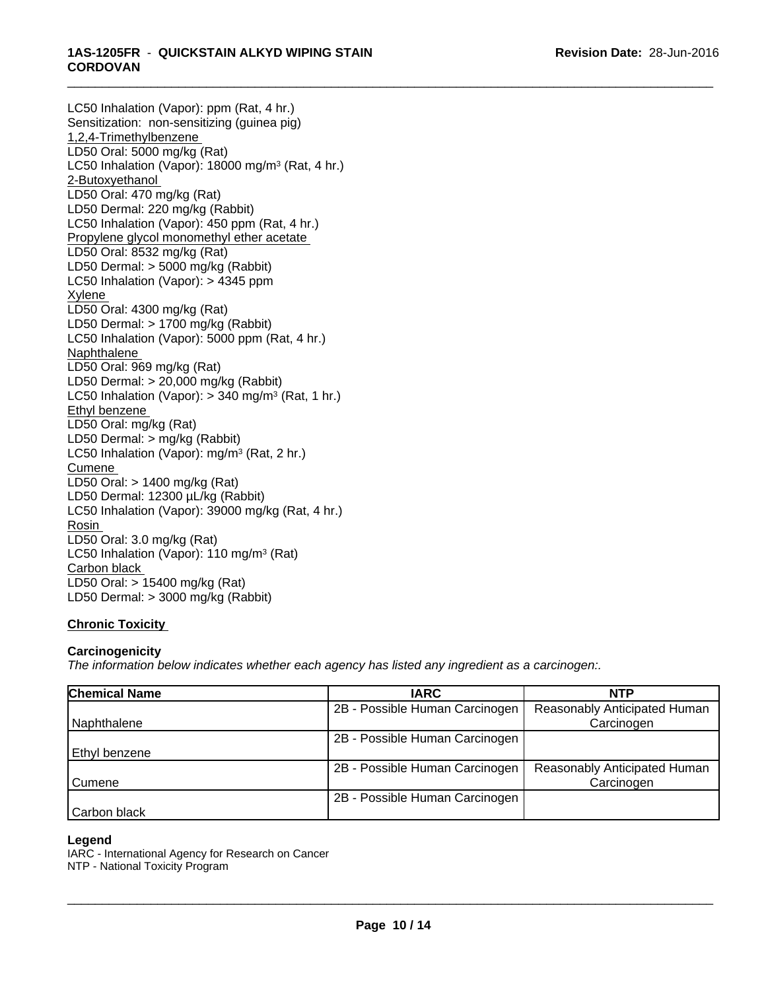#### \_\_\_\_\_\_\_\_\_\_\_\_\_\_\_\_\_\_\_\_\_\_\_\_\_\_\_\_\_\_\_\_\_\_\_\_\_\_\_\_\_\_\_\_\_\_\_\_\_\_\_\_\_\_\_\_\_\_\_\_\_\_\_\_\_\_\_\_\_\_\_\_\_\_\_\_\_\_\_\_\_\_\_\_\_\_\_\_\_\_\_\_\_ **1AS-1205FR** - **QUICKSTAIN ALKYD WIPING STAIN CORDOVAN**

LC50 Inhalation (Vapor): ppm (Rat, 4 hr.) Sensitization: non-sensitizing (guinea pig) 1,2,4-Trimethylbenzene LD50 Oral: 5000 mg/kg (Rat) LC50 Inhalation (Vapor): 18000 mg/m<sup>3</sup> (Rat, 4 hr.) 2-Butoxyethanol LD50 Oral: 470 mg/kg (Rat) LD50 Dermal: 220 mg/kg (Rabbit) LC50 Inhalation (Vapor): 450 ppm (Rat, 4 hr.) Propylene glycol monomethyl ether acetate LD50 Oral: 8532 mg/kg (Rat) LD50 Dermal: > 5000 mg/kg (Rabbit) LC50 Inhalation (Vapor): > 4345 ppm Xylene LD50 Oral: 4300 mg/kg (Rat) LD50 Dermal: > 1700 mg/kg (Rabbit) LC50 Inhalation (Vapor): 5000 ppm (Rat, 4 hr.) **Naphthalene** LD50 Oral: 969 mg/kg (Rat) LD50 Dermal: > 20,000 mg/kg (Rabbit) LC50 Inhalation (Vapor): > 340 mg/m<sup>3</sup> (Rat, 1 hr.) Ethyl benzene LD50 Oral: mg/kg (Rat) LD50 Dermal: > mg/kg (Rabbit) LC50 Inhalation (Vapor): mg/m<sup>3</sup> (Rat, 2 hr.) **Cumene** LD50 Oral: > 1400 mg/kg (Rat) LD50 Dermal: 12300 µL/kg (Rabbit) LC50 Inhalation (Vapor): 39000 mg/kg (Rat, 4 hr.) Rosin LD50 Oral: 3.0 mg/kg (Rat) LC50 Inhalation (Vapor): 110 mg/m<sup>3</sup> (Rat) Carbon black LD50 Oral: > 15400 mg/kg (Rat) LD50 Dermal: > 3000 mg/kg (Rabbit)

# **Chronic Toxicity**

### **Carcinogenicity**

*The information below indicateswhether each agency has listed any ingredient as a carcinogen:.*

| <b>Chemical Name</b> | <b>IARC</b>                    | <b>NTP</b>                   |
|----------------------|--------------------------------|------------------------------|
|                      | 2B - Possible Human Carcinogen | Reasonably Anticipated Human |
| Naphthalene          |                                | Carcinogen                   |
|                      | 2B - Possible Human Carcinogen |                              |
| l Ethvl benzene      |                                |                              |
|                      | 2B - Possible Human Carcinogen | Reasonably Anticipated Human |
| Cumene               |                                | Carcinogen                   |
|                      | 2B - Possible Human Carcinogen |                              |
| Carbon black         |                                |                              |

#### **Legend**

IARC - International Agency for Research on Cancer NTP - National Toxicity Program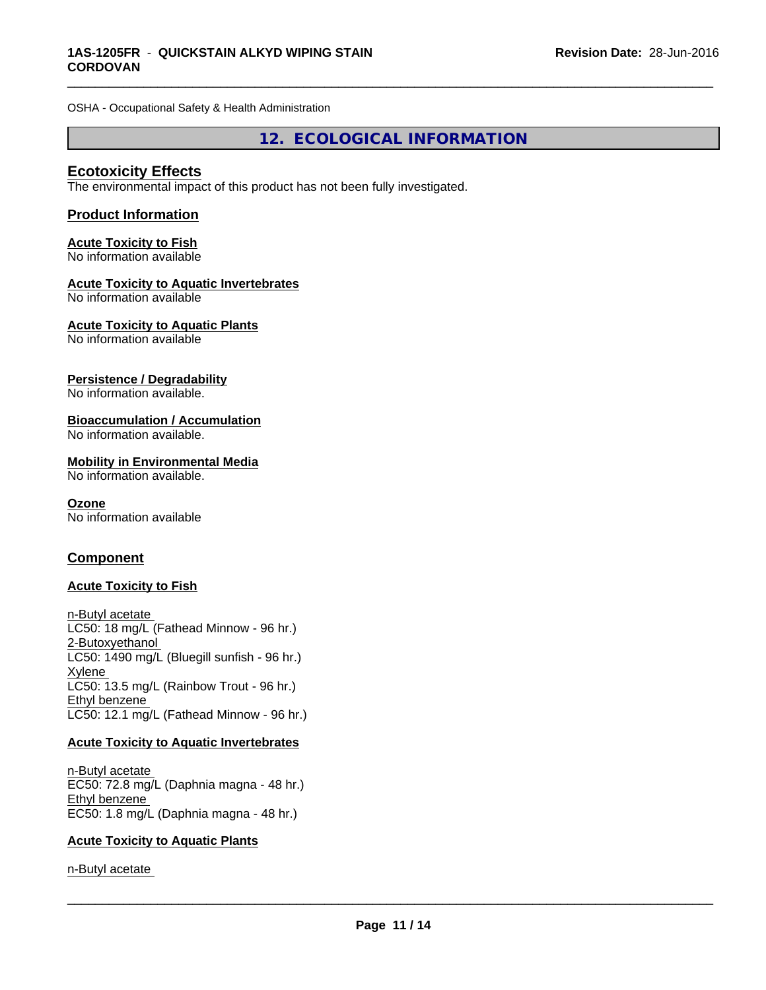OSHA - Occupational Safety & Health Administration

**12. ECOLOGICAL INFORMATION**

\_\_\_\_\_\_\_\_\_\_\_\_\_\_\_\_\_\_\_\_\_\_\_\_\_\_\_\_\_\_\_\_\_\_\_\_\_\_\_\_\_\_\_\_\_\_\_\_\_\_\_\_\_\_\_\_\_\_\_\_\_\_\_\_\_\_\_\_\_\_\_\_\_\_\_\_\_\_\_\_\_\_\_\_\_\_\_\_\_\_\_\_\_

### **Ecotoxicity Effects**

The environmental impact of this product has not been fully investigated.

#### **Product Information**

#### **Acute Toxicity to Fish** No information available

#### **Acute Toxicity to Aquatic Invertebrates**

No information available

#### **Acute Toxicity to Aquatic Plants**

No information available

#### **Persistence / Degradability**

No information available.

#### **Bioaccumulation / Accumulation**

No information available.

#### **Mobility in Environmental Media**

No information available.

#### **Ozone**

No information available

### **Component**

### **Acute Toxicity to Fish**

n-Butyl acetate LC50: 18 mg/L (Fathead Minnow - 96 hr.) 2-Butoxyethanol LC50: 1490 mg/L (Bluegill sunfish - 96 hr.) Xylene LC50: 13.5 mg/L (Rainbow Trout - 96 hr.) Ethyl benzene LC50: 12.1 mg/L (Fathead Minnow - 96 hr.)

#### **Acute Toxicity to Aquatic Invertebrates**

n-Butyl acetate EC50: 72.8 mg/L (Daphnia magna - 48 hr.) Ethyl benzene EC50: 1.8 mg/L (Daphnia magna - 48 hr.)

#### **Acute Toxicity to Aquatic Plants**

n-Butyl acetate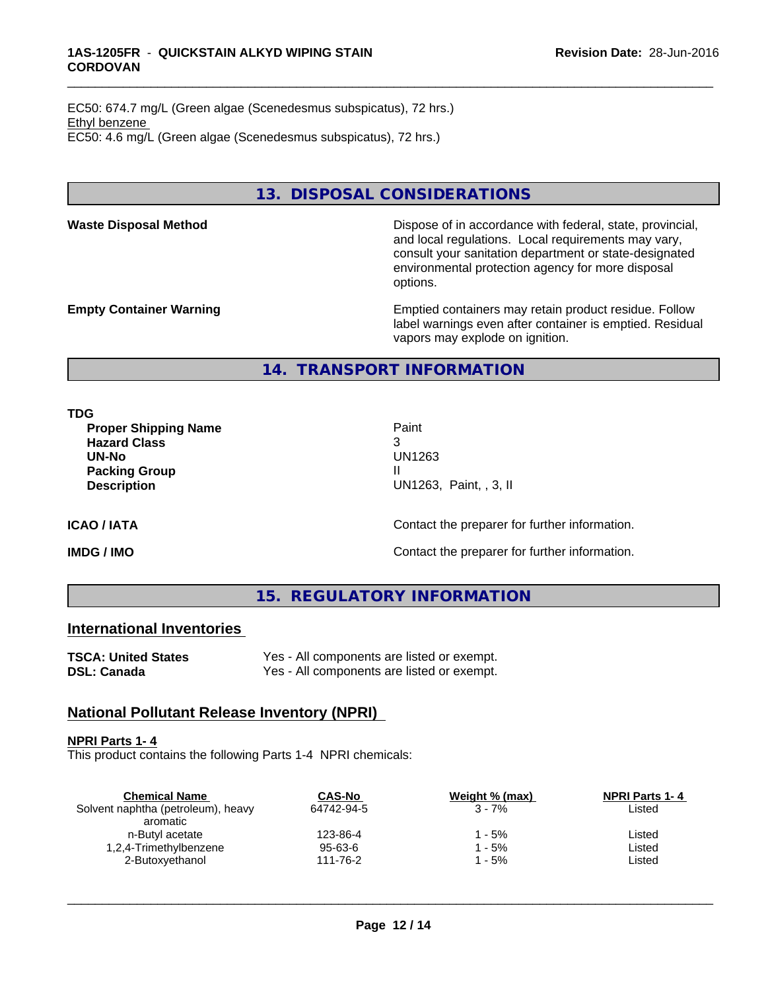EC50: 674.7 mg/L (Green algae (Scenedesmus subspicatus), 72 hrs.) Ethyl benzene EC50: 4.6 mg/L (Green algae (Scenedesmus subspicatus), 72 hrs.)

# **13. DISPOSAL CONSIDERATIONS**

Waste Disposal Method **Dispose of in accordance with federal, state, provincial,** and local regulations. Local requirements may vary, consult your sanitation department or state-designated environmental protection agency for more disposal options.

**Empty Container Warning <b>Emptied** Containers may retain product residue. Follow label warnings even after container is emptied. Residual vapors may explode on ignition.

**14. TRANSPORT INFORMATION**

**TDG**

**Proper Shipping Name Paint Hazard Class** 3 **UN-No** UN1263 **Packing Group III Description** UN1263, Paint, , 3, II

\_\_\_\_\_\_\_\_\_\_\_\_\_\_\_\_\_\_\_\_\_\_\_\_\_\_\_\_\_\_\_\_\_\_\_\_\_\_\_\_\_\_\_\_\_\_\_\_\_\_\_\_\_\_\_\_\_\_\_\_\_\_\_\_\_\_\_\_\_\_\_\_\_\_\_\_\_\_\_\_\_\_\_\_\_\_\_\_\_\_\_\_\_

**ICAO / IATA ICAO / IATA Contact the preparer for further information.** 

**IMDG / IMO IMO Contact the preparer for further information.** 

**15. REGULATORY INFORMATION**

# **International Inventories**

**TSCA: United States** Yes - All components are listed or exempt. **DSL: Canada** Yes - All components are listed or exempt.

# **National Pollutant Release Inventory (NPRI)**

#### **NPRI Parts 1- 4**

This product contains the following Parts 1-4 NPRI chemicals:

| <b>Chemical Name</b>               | <b>CAS-No</b> | Weight % (max) | <b>NPRI Parts 1-4</b> |  |
|------------------------------------|---------------|----------------|-----------------------|--|
| Solvent naphtha (petroleum), heavy | 64742-94-5    | $3 - 7%$       | Listed                |  |
| aromatic                           |               |                |                       |  |
| n-Butyl acetate                    | 123-86-4      | ' - 5%         | Listed                |  |
| 1,2,4-Trimethylbenzene             | 95-63-6       | - 5%           | Listed                |  |
| 2-Butoxyethanol                    | 111-76-2      | - 5%           | Listed                |  |
|                                    |               |                |                       |  |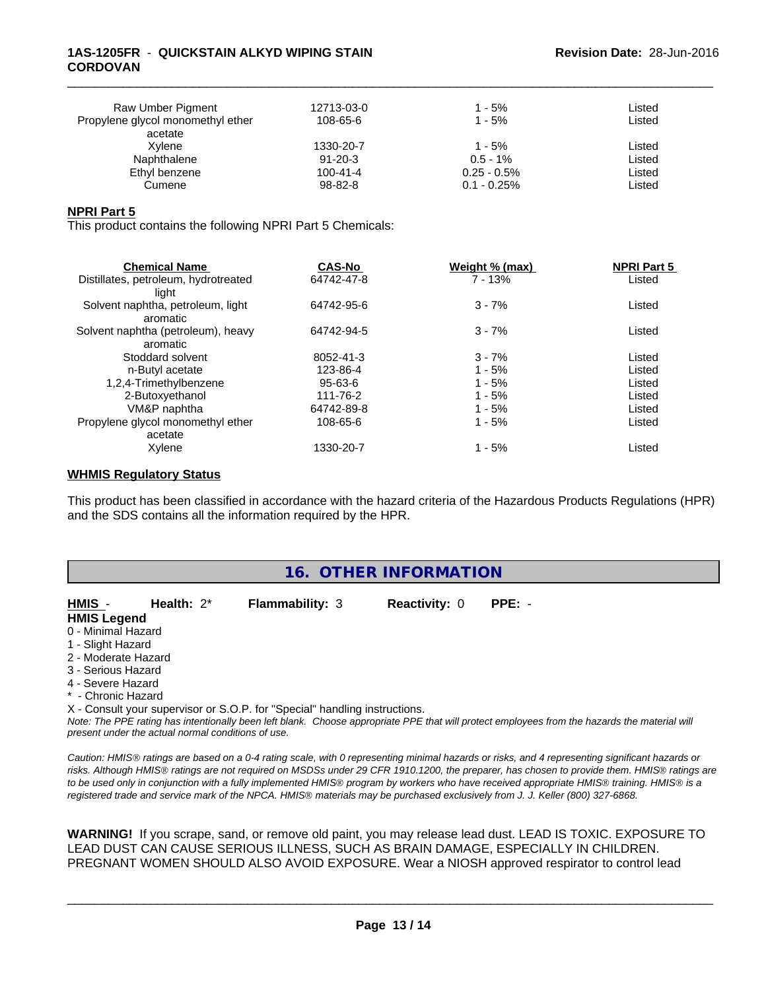#### **1AS-1205FR** - **QUICKSTAIN ALKYD WIPING STAIN CORDOVAN**

| Raw Umber Pigment<br>Propylene glycol monomethyl ether | 12713-03-0<br>108-65-6 | 1 - 5%<br>$1 - 5%$ | Listed<br>Listed |  |
|--------------------------------------------------------|------------------------|--------------------|------------------|--|
| acetate                                                |                        |                    |                  |  |
| Xvlene                                                 | 1330-20-7              | $1 - 5%$           | Listed           |  |
| Naphthalene                                            | $91 - 20 - 3$          | $0.5 - 1\%$        | Listed           |  |
| Ethyl benzene                                          | $100 - 41 - 4$         | $0.25 - 0.5\%$     | Listed           |  |
| Cumene                                                 | 98-82-8                | $0.1 - 0.25\%$     | Listed           |  |

\_\_\_\_\_\_\_\_\_\_\_\_\_\_\_\_\_\_\_\_\_\_\_\_\_\_\_\_\_\_\_\_\_\_\_\_\_\_\_\_\_\_\_\_\_\_\_\_\_\_\_\_\_\_\_\_\_\_\_\_\_\_\_\_\_\_\_\_\_\_\_\_\_\_\_\_\_\_\_\_\_\_\_\_\_\_\_\_\_\_\_\_\_

#### **NPRI Part 5**

This product contains the following NPRI Part 5 Chemicals:

| <b>Chemical Name</b>                 | <b>CAS-No</b> | Weight % (max) | <b>NPRI Part 5</b> |  |
|--------------------------------------|---------------|----------------|--------------------|--|
| Distillates, petroleum, hydrotreated | 64742-47-8    | $7 - 13%$      | Listed             |  |
| liaht                                |               |                |                    |  |
| Solvent naphtha, petroleum, light    | 64742-95-6    | $3 - 7%$       | Listed             |  |
| aromatic                             |               |                |                    |  |
| Solvent naphtha (petroleum), heavy   | 64742-94-5    | $3 - 7%$       | Listed             |  |
| aromatic                             |               |                |                    |  |
| Stoddard solvent                     | 8052-41-3     | $3 - 7%$       | Listed             |  |
| n-Butyl acetate                      | 123-86-4      | $1 - 5%$       | Listed             |  |
| 1,2,4-Trimethylbenzene               | 95-63-6       | $1 - 5%$       | Listed             |  |
| 2-Butoxyethanol                      | 111-76-2      | $1 - 5%$       | Listed             |  |
| VM&P naphtha                         | 64742-89-8    | $1 - 5%$       | Listed             |  |
| Propylene glycol monomethyl ether    | 108-65-6      | $1 - 5%$       | Listed             |  |
| acetate                              |               |                |                    |  |
| Xylene                               | 1330-20-7     | $1 - 5%$       | Listed             |  |
|                                      |               |                |                    |  |

#### **WHMIS Regulatory Status**

This product has been classified in accordance with the hazard criteria of the Hazardous Products Regulations (HPR) and the SDS contains all the information required by the HPR.

| 16. OTHER INFORMATION |                                                    |                                                                            |                      |                                                                                                                                               |  |
|-----------------------|----------------------------------------------------|----------------------------------------------------------------------------|----------------------|-----------------------------------------------------------------------------------------------------------------------------------------------|--|
| HMIS -                | Health: $2^*$                                      | <b>Flammability: 3</b>                                                     | <b>Reactivity: 0</b> | $PPE: -$                                                                                                                                      |  |
| <b>HMIS Legend</b>    |                                                    |                                                                            |                      |                                                                                                                                               |  |
| 0 - Minimal Hazard    |                                                    |                                                                            |                      |                                                                                                                                               |  |
| 1 - Slight Hazard     |                                                    |                                                                            |                      |                                                                                                                                               |  |
| 2 - Moderate Hazard   |                                                    |                                                                            |                      |                                                                                                                                               |  |
| 3 - Serious Hazard    |                                                    |                                                                            |                      |                                                                                                                                               |  |
| 4 - Severe Hazard     |                                                    |                                                                            |                      |                                                                                                                                               |  |
| * - Chronic Hazard    |                                                    |                                                                            |                      |                                                                                                                                               |  |
|                       | present under the actual normal conditions of use. | X - Consult your supervisor or S.O.P. for "Special" handling instructions. |                      | Note: The PPE rating has intentionally been left blank. Choose appropriate PPE that will protect employees from the hazards the material will |  |

*Caution: HMISÒ ratings are based on a 0-4 rating scale, with 0 representing minimal hazards or risks, and 4 representing significant hazards or risks. Although HMISÒ ratings are not required on MSDSs under 29 CFR 1910.1200, the preparer, has chosen to provide them. HMISÒ ratings are to be used only in conjunction with a fully implemented HMISÒ program by workers who have received appropriate HMISÒ training. HMISÒ is a registered trade and service mark of the NPCA. HMISÒ materials may be purchased exclusively from J. J. Keller (800) 327-6868.*

**WARNING!** If you scrape, sand, or remove old paint, you may release lead dust. LEAD IS TOXIC. EXPOSURE TO LEAD DUST CAN CAUSE SERIOUS ILLNESS, SUCH AS BRAIN DAMAGE, ESPECIALLY IN CHILDREN. PREGNANT WOMEN SHOULD ALSO AVOID EXPOSURE.Wear a NIOSH approved respirator to control lead